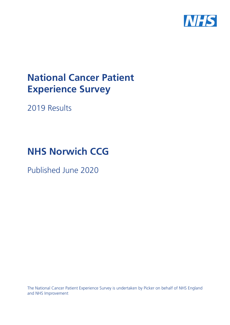

# **National Cancer Patient Experience Survey**

2019 Results

# **NHS Norwich CCG**

Published June 2020

The National Cancer Patient Experience Survey is undertaken by Picker on behalf of NHS England and NHS Improvement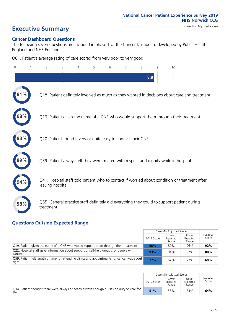# **Executive Summary** Case Mix Adjusted scores

#### **Cancer Dashboard Questions**

The following seven questions are included in phase 1 of the Cancer Dashboard developed by Public Health England and NHS England:

Q61. Patient's average rating of care scored from very poor to very good

| $\Omega$ | $\overline{2}$                                                | 3 | 4 | 5 | 6 | 7 | 8   | 9 | 10                                                                                            |  |
|----------|---------------------------------------------------------------|---|---|---|---|---|-----|---|-----------------------------------------------------------------------------------------------|--|
|          |                                                               |   |   |   |   |   | 8.8 |   |                                                                                               |  |
|          |                                                               |   |   |   |   |   |     |   | Q18. Patient definitely involved as much as they wanted in decisions about care and treatment |  |
| 98%      |                                                               |   |   |   |   |   |     |   | Q19. Patient given the name of a CNS who would support them through their treatment           |  |
|          | Q20. Patient found it very or quite easy to contact their CNS |   |   |   |   |   |     |   |                                                                                               |  |
| 89%      |                                                               |   |   |   |   |   |     |   | Q39. Patient always felt they were treated with respect and dignity while in hospital         |  |
|          | leaving hospital                                              |   |   |   |   |   |     |   | Q41. Hospital staff told patient who to contact if worried about condition or treatment after |  |
| 58%      | treatment                                                     |   |   |   |   |   |     |   | Q55. General practice staff definitely did everything they could to support patient during    |  |

### **Questions Outside Expected Range**

|                                                                                                       |            | Case Mix Adjusted Scores   |                            |                   |
|-------------------------------------------------------------------------------------------------------|------------|----------------------------|----------------------------|-------------------|
|                                                                                                       | 2019 Score | Lower<br>Expected<br>Range | Upper<br>Expected<br>Range | National<br>Score |
| Q19. Patient given the name of a CNS who would support them through their treatment                   | 98%        | 89%                        | 96%                        | 92%               |
| Q22. Hospital staff gave information about support or self-help groups for people with<br>cancer      | 93%        | 84%                        | 92%                        | 88%               |
| Q59. Patient felt length of time for attending clinics and appointments for cancer was about<br>right | 77%        | 62%                        | 77%                        | 69%               |

|                                                                                                   |            | Case Mix Adjusted Scores   |                            |                   |
|---------------------------------------------------------------------------------------------------|------------|----------------------------|----------------------------|-------------------|
|                                                                                                   | 2019 Score | Lower<br>Expected<br>Range | Upper<br>Expected<br>Range | National<br>Score |
| Q34. Patient thought there were always or nearly always enough nurses on duty to care for<br>them | 51%        | 55%                        | 73%                        | 64%               |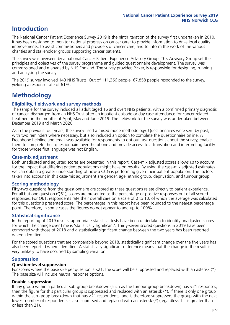# **Introduction**

The National Cancer Patient Experience Survey 2019 is the ninth iteration of the survey first undertaken in 2010. It has been designed to monitor national progress on cancer care; to provide information to drive local quality improvements; to assist commissioners and providers of cancer care; and to inform the work of the various charities and stakeholder groups supporting cancer patients.

The survey was overseen by a national Cancer Patient Experience Advisory Group. This Advisory Group set the principles and objectives of the survey programme and guided questionnaire development. The survey was commissioned and managed by NHS England. The survey provider, Picker, is responsible for designing, running and analysing the survey.

The 2019 survey involved 143 NHS Trusts. Out of 111,366 people, 67,858 people responded to the survey, yielding a response rate of 61%.

# **Methodology**

#### **Eligibility, eldwork and survey methods**

The sample for the survey included all adult (aged 16 and over) NHS patients, with a confirmed primary diagnosis of cancer, discharged from an NHS Trust after an inpatient episode or day case attendance for cancer related treatment in the months of April, May and June 2019. The fieldwork for the survey was undertaken between December 2019 and March 2020.

As in the previous four years, the survey used a mixed mode methodology. Questionnaires were sent by post, with two reminders where necessary, but also included an option to complete the questionnaire online. A Freephone helpline and email was available for respondents to opt out, ask questions about the survey, enable them to complete their questionnaire over the phone and provide access to a translation and interpreting facility for those whose first language was not English.

#### **Case-mix adjustment**

Both unadjusted and adjusted scores are presented in this report. Case-mix adjusted scores allows us to account for the impact that differing patient populations might have on results. By using the case-mix adjusted estimates we can obtain a greater understanding of how a CCG is performing given their patient population. The factors taken into account in this case-mix adjustment are gender, age, ethnic group, deprivation, and tumour group.

#### **Scoring methodology**

Fifty-two questions from the questionnaire are scored as these questions relate directly to patient experience. For all but one question (Q61), scores are presented as the percentage of positive responses out of all scored responses. For Q61, respondents rate their overall care on a scale of 0 to 10, of which the average was calculated for this question's presented score. The percentages in this report have been rounded to the nearest percentage point. Therefore, in some cases the figures do not appear to add up to 100%.

#### **Statistical significance**

In the reporting of 2019 results, appropriate statistical tests have been undertaken to identify unadjusted scores for which the change over time is 'statistically significant'. Thirty-seven scored questions in 2019 have been compared with those of 2018 and a statistically significant change between the two years has been reported where identified.

For the scored questions that are comparable beyond 2018, statistically significant change over the five years has also been reported where identified. A statistically significant difference means that the change in the result is very unlikely to have occurred by sampling variation.

#### **Suppression**

#### **Question-level suppression**

For scores where the base size per question is  $<$ 21, the score will be suppressed and replaced with an asterisk (\*). The base size will include neutral response options.

#### **Double suppression**

If any group within a particular sub-group breakdown (such as the tumour group breakdown) has <21 responses, then the figure for this particular group is suppressed and replaced with an asterisk (\*). If there is only one group within the sub-group breakdown that has <21 respondents, and is therefore suppressed, the group with the next lowest number of respondents is also supressed and replaced with an asterisk (\*) (regardless if it is greater than or less than 21).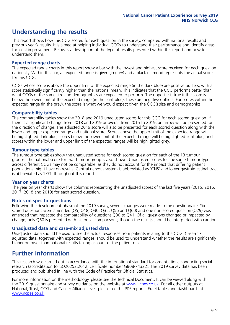# **Understanding the results**

This report shows how this CCG scored for each question in the survey, compared with national results and previous year's results. It is aimed at helping individual CCGs to understand their performance and identify areas for local improvement. Below is a description of the type of results presented within this report and how to understand them.

#### **Expected range charts**

The expected range charts in this report show a bar with the lowest and highest score received for each question nationally. Within this bar, an expected range is given (in grey) and a black diamond represents the actual score for this CCG.

CCGs whose score is above the upper limit of the expected range (in the dark blue) are positive outliers, with a score statistically significantly higher than the national mean. This indicates that the CCG performs better than what CCGs of the same size and demographics are expected to perform. The opposite is true if the score is below the lower limit of the expected range (in the light blue); these are negative outliers. For scores within the expected range (in the grey), the score is what we would expect given the CCG's size and demographics.

#### **Comparability tables**

The comparability tables show the 2018 and 2019 unadjusted scores for this CCG for each scored question. If there is a significant change from 2018 and 2019 or overall from 2015 to 2019, an arrow will be presented for the direction of change. The adjusted 2019 score will also be presented for each scored question along with the lower and upper expected range and national score. Scores above the upper limit of the expected range will be highlighted dark blue, scores below the lower limit of the expected range will be highlighted light blue, and scores within the lower and upper limit of the expected ranges will be highlighted grey.

#### **Tumour type tables**

The tumour type tables show the unadjusted scores for each scored question for each of the 13 tumour groups. The national score for that tumour group is also shown. Unadjusted scores for the same tumour type across different CCGs may not be comparable, as they do not account for the impact that differing patient populations might have on results. Central nervous system is abbreviated as 'CNS' and lower gastrointestinal tract is abbreviated as 'LGT' throughout this report.

#### **Year on year charts**

The year on year charts show five columns representing the unadjusted scores of the last five years (2015, 2016, 2017, 2018 and 2019) for each scored question.

#### **Notes on specific questions**

Following the development phase of the 2019 survey, several changes were made to the questionnaire. Six scored questions were amended (Q5, Q18, Q30, Q35, Q56 and Q60) and one non-scored question (Q29) was amended that impacted the comparability of questions Q30 to Q41. Of all questions changed or impacted by change, only Q60 is presented with historical comparisons; though the results should be interpreted with caution.

#### **Unadjusted data and case-mix adjusted data**

Unadjusted data should be used to see the actual responses from patients relating to the CCG. Case-mix adjusted data, together with expected ranges, should be used to understand whether the results are significantly higher or lower than national results taking account of the patient mix.

### **Further information**

This research was carried out in accordance with the international standard for organisations conducting social research (accreditation to ISO20252:2012; certificate number GB08/74322). The 2019 survey data has been produced and published in line with the Code of Practice for Official Statistics.

For more information on the methodology, please see the Technical Document. It can be viewed along with the 2019 questionnaire and survey quidance on the website at [www.ncpes.co.uk](https://www.ncpes.co.uk/supporting-documents). For all other outputs at National, Trust, CCG and Cancer Alliance level, please see the PDF reports, Excel tables and dashboards at [www.ncpes.co.uk.](https://www.ncpes.co.uk/current-results)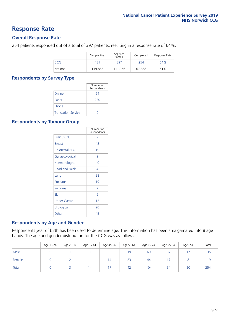### **Response Rate**

#### **Overall Response Rate**

254 patients responded out of a total of 397 patients, resulting in a response rate of 64%.

|            | Sample Size | Adjusted<br>Sample | Completed | Response Rate |
|------------|-------------|--------------------|-----------|---------------|
| <b>CCG</b> | 431         | 397                | 254       | 64%           |
| National   | 119.855     | 111.366            | 67.858    | 61%           |

#### **Respondents by Survey Type**

|                            | Number of<br>Respondents |
|----------------------------|--------------------------|
| Online                     | 24                       |
| Paper                      | 230                      |
| Phone                      |                          |
| <b>Translation Service</b> |                          |

#### **Respondents by Tumour Group**

|                      | Number of<br>Respondents |
|----------------------|--------------------------|
| <b>Brain / CNS</b>   | $\mathcal{P}$            |
| <b>Breast</b>        | 48                       |
| Colorectal / LGT     | 19                       |
| Gynaecological       | 9                        |
| Haematological       | 40                       |
| <b>Head and Neck</b> | 4                        |
| Lung                 | 28                       |
| Prostate             | 19                       |
| Sarcoma              | $\mathcal{P}$            |
| Skin                 | 6                        |
| <b>Upper Gastro</b>  | 12                       |
| Urological           | 20                       |
| Other                | 45                       |

#### **Respondents by Age and Gender**

Respondents year of birth has been used to determine age. This information has been amalgamated into 8 age bands. The age and gender distribution for the CCG was as follows:

|        | Age 16-24 | Age 25-34 | Age 35-44 | Age 45-54 | Age 55-64 | Age 65-74 | Age 75-84 | Age 85+ | Total |
|--------|-----------|-----------|-----------|-----------|-----------|-----------|-----------|---------|-------|
| Male   |           |           |           |           | 19        | 60        | 37        |         | 135   |
| Female |           |           |           | 14        | 23        | 44        |           |         | 119   |
| Total  |           |           | 14        | 17        | 42        | 104       | 54        | 20      | 254   |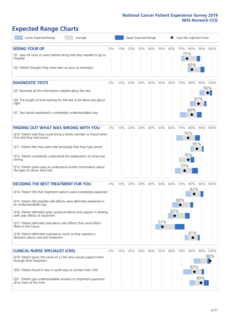# **Expected Range Charts**

| Lower Expected Range<br>Average                                                                                                                                                                                                                                                                                                                                                                                                                                                                                             |    |     | Upper Expected Range |     |     |            |            | Case Mix Adjusted Score |                          |     |                      |
|-----------------------------------------------------------------------------------------------------------------------------------------------------------------------------------------------------------------------------------------------------------------------------------------------------------------------------------------------------------------------------------------------------------------------------------------------------------------------------------------------------------------------------|----|-----|----------------------|-----|-----|------------|------------|-------------------------|--------------------------|-----|----------------------|
| <b>SEEING YOUR GP</b><br>Q1. Saw GP once or twice before being told they needed to go to<br>hospital<br>Q2. Patient thought they were seen as soon as necessary                                                                                                                                                                                                                                                                                                                                                             | 0% | 10% | 20%                  | 30% | 40% | 50%        | 60%        | 70% 80%<br>75%          | 80%                      |     | 90% 100%             |
| <b>DIAGNOSTIC TESTS</b><br>Q5. Received all the information needed about the test<br>Q6. The length of time waiting for the test to be done was about<br>right<br>Q7. Test results explained in completely understandable way                                                                                                                                                                                                                                                                                               | 0% | 10% | 20%                  | 30% | 40% | 50%        | 60%        | 70%                     | 80%<br>80%               | 87% | 90% 100%<br>96%      |
| <b>FINDING OUT WHAT WAS WRONG WITH YOU</b><br>Q10. Patient told they could bring a family member or friend when<br>first told they had cancer<br>Q11. Patient felt they were told sensitively that they had cancer<br>Q12. Patient completely understood the explanation of what was<br>wrong<br>Q13. Patient given easy to understand written information about<br>the type of cancer they had                                                                                                                             | 0% | 10% | 20%                  | 30% | 40% | 50%        | 60%        | 70%<br>73%              | 80%<br>76%<br>85%<br>76% |     | 90% 100%             |
| <b>DECIDING THE BEST TREATMENT FOR YOU</b><br>Q14. Patient felt that treatment options were completely explained<br>Q15. Patient felt possible side effects were definitely explained in<br>an understandable way<br>Q16. Patient definitely given practical advice and support in dealing<br>with side effects of treatment<br>Q17. Patient definitely told about side effects that could affect<br>them in the future<br>Q18. Patient definitely involved as much as they wanted in<br>decisions about care and treatment | 0% | 10% | 20%                  | 30% | 40% | 50%<br>51% | 60%<br>63% | 70%<br>68%              | 80%<br>82%<br>81%        |     | 90% 100%             |
| <b>CLINICAL NURSE SPECIALIST (CNS)</b><br>Q19. Patient given the name of a CNS who would support them<br>through their treatment<br>Q20. Patient found it very or quite easy to contact their CNS<br>Q21. Patient got understandable answers to important questions<br>all or most of the time                                                                                                                                                                                                                              | 0% | 10% | 20%                  | 30% | 40% | 50%        | 60%        | 70%                     | 80%<br>83%               | 89% | 90% 100%<br>98%<br>◁ |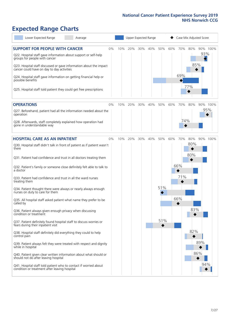# **Expected Range Charts**

| Lower Expected Range<br>Average                                                                                   |     |     | Upper Expected Range |     |     |         |     |            | Case Mix Adjusted Score |  |
|-------------------------------------------------------------------------------------------------------------------|-----|-----|----------------------|-----|-----|---------|-----|------------|-------------------------|--|
| <b>SUPPORT FOR PEOPLE WITH CANCER</b><br>$0\%$<br>Q22. Hospital staff gave information about support or self-help | 10% | 20% | 30%                  | 40% | 50% | 60% 70% |     | 80%        | 90% 100%<br>93%         |  |
| groups for people with cancer                                                                                     |     |     |                      |     |     |         |     | 85%        |                         |  |
| Q23. Hospital staff discussed or gave information about the impact<br>cancer could have on day to day activities  |     |     |                      |     |     |         |     |            |                         |  |
| Q24. Hospital staff gave information on getting financial help or<br>possible benefits                            |     |     |                      |     |     |         | 69% |            |                         |  |
| Q25. Hospital staff told patient they could get free prescriptions                                                |     |     |                      |     |     |         |     | 77%        |                         |  |
| <b>OPERATIONS</b><br>0%                                                                                           | 10% | 20% | 30%                  | 40% | 50% | 60%     | 70% | 80%        | 90% 100%                |  |
| Q27. Beforehand, patient had all the information needed about the<br>operation                                    |     |     |                      |     |     |         |     |            | 95%                     |  |
| Q28. Afterwards, staff completely explained how operation had<br>gone in understandable way                       |     |     |                      |     |     |         | 74% |            |                         |  |
| <b>HOSPITAL CARE AS AN INPATIENT</b><br>0%                                                                        | 10% | 20% | 30%                  | 40% | 50% | 60%     | 70% | 80%        | 90% 100%                |  |
| Q30. Hospital staff didn't talk in front of patient as if patient wasn't<br>there                                 |     |     |                      |     |     |         |     | 80%<br>80% |                         |  |
| Q31. Patient had confidence and trust in all doctors treating them                                                |     |     |                      |     |     |         |     |            |                         |  |
| Q32. Patient's family or someone close definitely felt able to talk to<br>a doctor                                |     |     |                      |     |     |         | 66% |            |                         |  |
| Q33. Patient had confidence and trust in all the ward nurses<br>treating them                                     |     |     |                      |     |     |         | 71% |            |                         |  |
| Q34. Patient thought there were always or nearly always enough<br>nurses on duty to care for them                 |     |     |                      |     | 51% |         |     |            |                         |  |
| Q35. All hospital staff asked patient what name they prefer to be<br>called by                                    |     |     |                      |     |     |         | 66% |            |                         |  |
| Q36. Patient always given enough privacy when discussing<br>condition or treatment                                |     |     |                      |     |     |         |     | 83%        |                         |  |
| Q37. Patient definitely found hospital staff to discuss worries or<br>fears during their inpatient visit          |     |     |                      |     | 51% |         |     |            |                         |  |
| Q38. Hospital staff definitely did everything they could to help<br>control pain                                  |     |     |                      |     |     |         |     | 82%        |                         |  |
| Q39. Patient always felt they were treated with respect and dignity<br>while in hospital                          |     |     |                      |     |     |         |     |            | 89%                     |  |
| Q40. Patient given clear written information about what should or<br>should not do after leaving hospital         |     |     |                      |     |     |         |     |            | 86%                     |  |
| Q41. Hospital staff told patient who to contact if worried about<br>condition or treatment after leaving hospital |     |     |                      |     |     |         |     |            | 94%                     |  |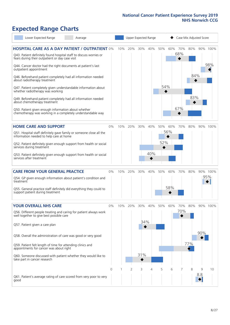# **Expected Range Charts**

| Lower Expected Range                                                                                                                                                                                                                                                                                 | Average  |     |     | Upper Expected Range |     |     |     |                 | Case Mix Adjusted Score |          |                 |
|------------------------------------------------------------------------------------------------------------------------------------------------------------------------------------------------------------------------------------------------------------------------------------------------------|----------|-----|-----|----------------------|-----|-----|-----|-----------------|-------------------------|----------|-----------------|
| <b>HOSPITAL CARE AS A DAY PATIENT / OUTPATIENT 0%</b><br>Q43. Patient definitely found hospital staff to discuss worries or<br>fears during their outpatient or day case visit<br>Q44. Cancer doctor had the right documents at patient's last<br>outpatient appointment                             |          | 10% | 20% | 30%                  | 40% | 50% | 60% | 70%<br>68%<br>◆ | 80%                     |          | 90% 100%<br>98% |
| Q46. Beforehand patient completely had all information needed<br>about radiotherapy treatment<br>Q47. Patient completely given understandable information about<br>whether radiotherapy was working<br>Q49. Beforehand patient completely had all information needed<br>about chemotherapy treatment |          |     |     |                      |     | 54% |     |                 | 84%<br>83%              |          |                 |
| Q50. Patient given enough information about whether<br>chemotherapy was working in a completely understandable way                                                                                                                                                                                   |          |     |     |                      |     |     |     | 67%             |                         |          |                 |
| <b>HOME CARE AND SUPPORT</b>                                                                                                                                                                                                                                                                         | 0%       | 10% | 20% | 30%                  | 40% | 50% | 60% | 70%             | 80%                     |          | 90% 100%        |
| Q51. Hospital staff definitely gave family or someone close all the<br>information needed to help care at home                                                                                                                                                                                       |          |     |     |                      |     |     | 56% |                 |                         |          |                 |
| Q52. Patient definitely given enough support from health or social<br>services during treatment                                                                                                                                                                                                      |          |     |     |                      |     | 52% |     |                 |                         |          |                 |
| Q53. Patient definitely given enough support from health or social<br>services after treatment                                                                                                                                                                                                       |          |     |     |                      | 40% |     |     |                 |                         |          |                 |
| <b>CARE FROM YOUR GENERAL PRACTICE</b>                                                                                                                                                                                                                                                               | 0%       | 10% | 20% | 30%                  | 40% | 50% | 60% | 70%             | 80%                     |          | 90% 100%        |
| Q54. GP given enough information about patient's condition and<br>treatment                                                                                                                                                                                                                          |          |     |     |                      |     |     |     |                 |                         |          | 95%             |
| Q55. General practice staff definitely did everything they could to<br>support patient during treatment                                                                                                                                                                                              |          |     |     |                      |     |     | 58% |                 |                         |          |                 |
| <b>YOUR OVERALL NHS CARE</b>                                                                                                                                                                                                                                                                         | 0%       | 10% | 20% | 30%                  | 40% | 50% | 60% | 70%             | 80%                     |          | 90% 100%        |
| Q56. Different people treating and caring for patient always work<br>well together to give best possible care<br>Q57. Patient given a care plan                                                                                                                                                      |          |     |     | 34%                  |     |     |     | 70%             |                         |          |                 |
| Q58. Overall the administration of care was good or very good                                                                                                                                                                                                                                        |          |     |     |                      |     |     |     |                 |                         | 90%      |                 |
| Q59. Patient felt length of time for attending clinics and<br>appointments for cancer was about right                                                                                                                                                                                                |          |     |     |                      |     |     |     |                 | 77%                     |          |                 |
| Q60. Someone discussed with patient whether they would like to<br>take part in cancer research                                                                                                                                                                                                       |          |     |     | 31%                  |     |     |     |                 |                         |          |                 |
|                                                                                                                                                                                                                                                                                                      | $\Omega$ |     | 2   | 3                    | 4   | 5   | 6   | 7               | 8                       | 9<br>8.8 | 10              |
| Q61. Patient's average rating of care scored from very poor to very<br>good                                                                                                                                                                                                                          |          |     |     |                      |     |     |     |                 |                         |          |                 |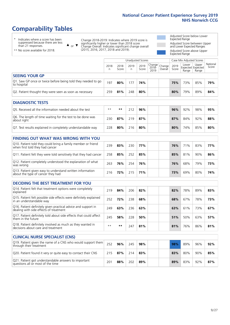# **Comparability Tables**

\* Indicates where a score has been suppressed because there are less than 21 responses.

\*\* No score available for 2018.

 $\triangle$  or  $\nabla$ 

Change 2018-2019: Indicates where 2019 score is significantly higher or lower than 2018 score Change Overall: Indicates significant change overall (2015, 2016, 2017, 2018 and 2019).

Adjusted Score below Lower Expected Range Adjusted Score between Upper and Lower Expected Ranges Adjusted Score above Upper

Expected Range

|                                                                             |           |               | Unadjusted Scores |               |                                             |         |               | Case Mix Adjusted Scores |                                            |                   |
|-----------------------------------------------------------------------------|-----------|---------------|-------------------|---------------|---------------------------------------------|---------|---------------|--------------------------|--------------------------------------------|-------------------|
|                                                                             | 2018<br>n | 2018<br>Score | 2019<br>n         | 2019<br>Score | $\sqrt{Change} Change $<br>$2018 -$<br>2019 | Overall | 2019<br>Score | Lower<br>Range           | Upper<br><b>Expected Expected</b><br>Range | National<br>Score |
| <b>SEEING YOUR GP</b>                                                       |           |               |                   |               |                                             |         |               |                          |                                            |                   |
| Q1. Saw GP once or twice before being told they needed to go<br>to hospital | 197       | 80%           | 177               | 74%           |                                             |         | 75%           | 73%                      | 85%                                        | 79%               |
| Q2. Patient thought they were seen as soon as necessary                     | 259       | 81%           | 248               | 80%           |                                             |         | 80%           | 79%                      | 89%                                        | 84%               |
| <b>DIAGNOSTIC TESTS</b>                                                     |           |               |                   |               |                                             |         |               |                          |                                            |                   |

| O5. Received all the information needed about the test                    | $***$ | **  |     | 96% |  | 96% | 92% | 98%    | 95% |
|---------------------------------------------------------------------------|-------|-----|-----|-----|--|-----|-----|--------|-----|
| Q6. The length of time waiting for the test to be done was<br>about right | 230   | 87% | 219 | 87% |  | 87% | 84% | $92\%$ | 88% |
| Q7. Test results explained in completely understandable way               | 228   | 80% | 216 | 80% |  | 80% | 74% | 85%    | 80% |

| <b>FINDING OUT WHAT WAS WRONG WITH YOU</b>                                                      |     |     |     |     |  |     |     |     |     |
|-------------------------------------------------------------------------------------------------|-----|-----|-----|-----|--|-----|-----|-----|-----|
| Q10. Patient told they could bring a family member or friend<br>when first told they had cancer | 239 | 83% | 230 | 77% |  | 76% | 71% | 83% | 77% |
| Q11. Patient felt they were told sensitively that they had cancer                               | 258 | 85% | 252 | 85% |  | 85% | 81% | 90% | 86% |
| Q12. Patient completely understood the explanation of what<br>was wrong                         | 263 | 76% | 254 | 76% |  | 76% | 68% | 79% | 73% |
| Q13. Patient given easy to understand written information<br>about the type of cancer they had  | 216 | 72% | 215 | 71% |  | 73% | 69% | 80% | 74% |

| <b>DECIDING THE BEST TREATMENT FOR YOU</b>                                                              |      |     |     |     |     |     |     |     |
|---------------------------------------------------------------------------------------------------------|------|-----|-----|-----|-----|-----|-----|-----|
| Q14. Patient felt that treatment options were completely<br>explained                                   | 219  | 84% | 206 | 82% | 82% | 78% | 89% | 83% |
| Q15. Patient felt possible side effects were definitely explained<br>in an understandable way           | 252  | 72% | 238 | 68% | 68% | 67% | 78% | 73% |
| Q16. Patient definitely given practical advice and support in<br>dealing with side effects of treatment | 249  | 63% | 236 | 63% | 63% | 61% | 73% | 67% |
| Q17. Patient definitely told about side effects that could affect<br>them in the future                 | 245  | 58% | 228 | 50% | 51% | 50% | 63% | 57% |
| Q18. Patient definitely involved as much as they wanted in<br>decisions about care and treatment        | $**$ | **  | 247 | 81% | 81% | 76% | 86% | 81% |

| <b>CLINICAL NURSE SPECIALIST (CNS)</b>                                                    |     |     |     |     |     |     |     |     |
|-------------------------------------------------------------------------------------------|-----|-----|-----|-----|-----|-----|-----|-----|
| Q19. Patient given the name of a CNS who would support them<br>through their treatment    | 252 | 96% | 245 | 98% | 98% | 89% | 96% | 92% |
| Q20. Patient found it very or quite easy to contact their CNS                             | 215 | 87% | 214 | 83% | 83% | 80% | 90% | 85% |
| Q21. Patient got understandable answers to important<br>questions all or most of the time | 201 | 88% | 202 | 89% | 89% | 83% | 92% | 87% |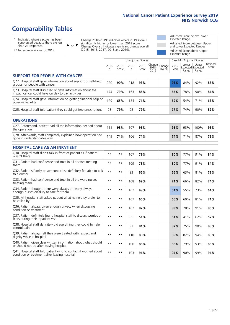# **Comparability Tables**

\* Indicates where a score has been suppressed because there are less than 21 responses.

\*\* No score available for 2018.

 $\triangle$  or  $\nabla$ 

Change 2018-2019: Indicates where 2019 score is significantly higher or lower than 2018 score Change Overall: Indicates significant change overall (2015, 2016, 2017, 2018 and 2019).

Adjusted Score below Lower Expected Range Adjusted Score between Upper and Lower Expected Ranges Adjusted Score above Upper Expected Range

|                                                                                                                   |              |               | Unadjusted Scores |               |                         |                   |               | Case Mix Adjusted Scores |                                     |                   |
|-------------------------------------------------------------------------------------------------------------------|--------------|---------------|-------------------|---------------|-------------------------|-------------------|---------------|--------------------------|-------------------------------------|-------------------|
|                                                                                                                   | 2018<br>n    | 2018<br>Score | 2019<br>n         | 2019<br>Score | Change<br>2018-<br>2019 | Change<br>Overall | 2019<br>Score | Lower<br>Range           | Upper<br>Expected Expected<br>Range | National<br>Score |
| <b>SUPPORT FOR PEOPLE WITH CANCER</b>                                                                             |              |               |                   |               |                         |                   |               |                          |                                     |                   |
| Q22. Hospital staff gave information about support or self-help<br>groups for people with cancer                  | 220          | 90%           | 218               | 93%           |                         |                   | 93%           | 84%                      | 92%                                 | 88%               |
| Q23. Hospital staff discussed or gave information about the<br>impact cancer could have on day to day activities  | 174          | 79%           | 163               | 85%           |                         |                   | 85%           | 78%                      | 90%                                 | 84%               |
| Q24. Hospital staff gave information on getting financial help or<br>possible benefits                            | 129          | 65%           | 134               | 71%           |                         |                   | 69%           | 54%                      | 71%                                 | 63%               |
| Q25. Hospital staff told patient they could get free prescriptions                                                | 98           | 79%           | 98                | 79%           |                         |                   | 77%           | 74%                      | 90%                                 | 82%               |
| <b>OPERATIONS</b>                                                                                                 |              |               |                   |               |                         |                   |               |                          |                                     |                   |
| Q27. Beforehand, patient had all the information needed about<br>the operation                                    | 151          | 98%           | 107               | 95%           |                         |                   | 95%           | 93%                      | 100%                                | 96%               |
| Q28. Afterwards, staff completely explained how operation had<br>gone in understandable way                       | 149          | 74%           | 106               | 74%           |                         |                   | 74%           | 71%                      | 87%                                 | 79%               |
| <b>HOSPITAL CARE AS AN INPATIENT</b>                                                                              |              |               |                   |               |                         |                   |               |                          |                                     |                   |
| Q30. Hospital staff didn't talk in front of patient as if patient<br>wasn't there                                 | $* *$        | **            | 107               | 79%           |                         |                   | 80%           | 77%                      | 91%                                 | 84%               |
| Q31. Patient had confidence and trust in all doctors treating<br>them                                             | $* *$        | $***$         | 109               | 78%           |                         |                   | 80%           | 77%                      | 91%                                 | 84%               |
| Q32. Patient's family or someone close definitely felt able to talk<br>to a doctor                                | $* *$        | $***$         | 93                | 66%           |                         |                   | 66%           | 63%                      | 81%                                 | 72%               |
| Q33. Patient had confidence and trust in all the ward nurses<br>treating them                                     | $* *$        | **            | 108               | 69%           |                         |                   | 71%           | 66%                      | 82%                                 | 74%               |
| Q34. Patient thought there were always or nearly always<br>enough nurses on duty to care for them                 | $* *$        | $***$         | 107               | 49%           |                         |                   | 51%           | 55%                      | 73%                                 | 64%               |
| Q35. All hospital staff asked patient what name they prefer to<br>be called by                                    | $* *$        | **            | 107               | 66%           |                         |                   | 66%           | 60%                      | 81%                                 | 71%               |
| Q36. Patient always given enough privacy when discussing<br>condition or treatment                                | $* *$        | $***$         | 107               | 82%           |                         |                   | 83%           | 78%                      | 91%                                 | 85%               |
| Q37. Patient definitely found hospital staff to discuss worries or<br>fears during their inpatient visit          | $* *$        | **            | 85                | 51%           |                         |                   | 51%           | 41%                      | 62%                                 | 52%               |
| Q38. Hospital staff definitely did everything they could to help<br>control pain                                  | $* *$        | $***$         | 97                | 81%           |                         |                   | 82%           | 75%                      | 90%                                 | 83%               |
| Q39. Patient always felt they were treated with respect and<br>dignity while in hospital                          | $* *$        | **            | 110               | 88%           |                         |                   | 89%           | 82%                      | 94%                                 | 88%               |
| Q40. Patient given clear written information about what should<br>or should not do after leaving hospital         | $\star\star$ | $***$         | 106               | 85%           |                         |                   | 86%           | 79%                      | 93%                                 | 86%               |
| Q41. Hospital staff told patient who to contact if worried about<br>condition or treatment after leaving hospital | $**$         | **            | 103               | 94%           |                         |                   | 94%           | 90%                      | 99%                                 | 94%               |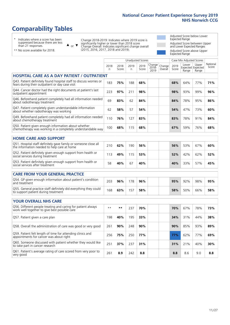# **Comparability Tables**

\* Indicates where a score has been suppressed because there are less than 21 responses.

\*\* No score available for 2018.

 $\triangle$  or  $\nabla$ 

Change 2018-2019: Indicates where 2019 score is significantly higher or lower than 2018 score Change Overall: Indicates significant change overall (2015, 2016, 2017, 2018 and 2019).

Adjusted Score below Lower Expected Range Adjusted Score between Upper and Lower Expected Ranges Adjusted Score above Upper Expected Range

|                                                                                                                       |              |               |           | <b>Unadjusted Scores</b> |                            |                   |               | Case Mix Adjusted Scores |                                     |                   |
|-----------------------------------------------------------------------------------------------------------------------|--------------|---------------|-----------|--------------------------|----------------------------|-------------------|---------------|--------------------------|-------------------------------------|-------------------|
|                                                                                                                       | 2018<br>n.   | 2018<br>Score | 2019<br>n | 2019<br>Score            | Change<br>$2018 -$<br>2019 | Change<br>Overall | 2019<br>Score | Lower<br>Range           | Upper<br>Expected Expected<br>Range | National<br>Score |
| <b>HOSPITAL CARE AS A DAY PATIENT / OUTPATIENT</b>                                                                    |              |               |           |                          |                            |                   |               |                          |                                     |                   |
| Q43. Patient definitely found hospital staff to discuss worries or<br>fears during their outpatient or day case visit | 183          | 75%           | 188       | 68%                      |                            |                   | 68%           | 64%                      | 77%                                 | 71%               |
| Q44. Cancer doctor had the right documents at patient's last<br>outpatient appointment                                | 223          | 97%           | 211       | 98%                      |                            |                   | 98%           | 93%                      | 99%                                 | 96%               |
| Q46. Beforehand patient completely had all information needed<br>about radiotherapy treatment                         | 69           | 83%           | 62        | 84%                      |                            |                   | 84%           | 78%                      | 95%                                 | 86%               |
| Q47. Patient completely given understandable information<br>about whether radiotherapy was working                    | 62           | 58%           | 57        | 54%                      |                            |                   | 54%           | 47%                      | 73%                                 | 60%               |
| Q49. Beforehand patient completely had all information needed<br>about chemotherapy treatment                         | 110          | 76%           | 127       | 83%                      |                            |                   | 83%           | 78%                      | 91%                                 | 84%               |
| Q50. Patient given enough information about whether<br>chemotherapy was working in a completely understandable way    | 100          | 68%           | 115       | 68%                      |                            |                   | 67%           | 59%                      | 76%                                 | 68%               |
| <b>HOME CARE AND SUPPORT</b>                                                                                          |              |               |           |                          |                            |                   |               |                          |                                     |                   |
| Q51. Hospital staff definitely gave family or someone close all<br>the information needed to help care at home        | 210          | 62%           | 190       | 56%                      |                            |                   | 56%           | 53%                      | 67%                                 | 60%               |
| Q52. Patient definitely given enough support from health or<br>social services during treatment                       | 113          | 49%           | 115       | 53%                      |                            |                   | 52%           | 42%                      | 62%                                 | 52%               |
| Q53. Patient definitely given enough support from health or<br>social services after treatment                        | 58           | 40%           | 67        | 40%                      |                            |                   | 40%           | 33%                      | 57%                                 | 45%               |
| <b>CARE FROM YOUR GENERAL PRACTICE</b>                                                                                |              |               |           |                          |                            |                   |               |                          |                                     |                   |
| Q54. GP given enough information about patient's condition<br>and treatment                                           | 203          | 96%           | 178       | 96%                      |                            |                   | 95%           | 92%                      | 98%                                 | 95%               |
| Q55. General practice staff definitely did everything they could<br>to support patient during treatment               | 168          | 63%           | 157       | 58%                      |                            |                   | 58%           | 50%                      | 66%                                 | 58%               |
| <b>YOUR OVERALL NHS CARE</b>                                                                                          |              |               |           |                          |                            |                   |               |                          |                                     |                   |
| Q56. Different people treating and caring for patient always<br>work well together to give best possible care         | $\star\star$ | $***$         | 237       | 70%                      |                            |                   | 70%           | 67%                      | 78%                                 | 73%               |
| Q57. Patient given a care plan                                                                                        | 198          | 40%           | 195       | 33%                      |                            |                   | 34%           | 31%                      | 44%                                 | 38%               |
| Q58. Overall the administration of care was good or very good                                                         | 261          | 90%           | 248       | 90%                      |                            |                   | 90%           | 85%                      | 93%                                 | 89%               |
| Q59. Patient felt length of time for attending clinics and<br>appointments for cancer was about right                 | 256          | 75%           | 250       | 77%                      |                            |                   | 77%           | 62%                      | 77%                                 | 69%               |
| Q60. Someone discussed with patient whether they would like<br>to take part in cancer research                        | 251          | 37%           | 237       | 31%                      |                            |                   | 31%           | 21%                      | 40%                                 | 30%               |
| Q61. Patient's average rating of care scored from very poor to<br>very good                                           | 261          | 8.9           | 242       | 8.8                      |                            |                   | 8.8           | 8.6                      | 9.0                                 | 8.8               |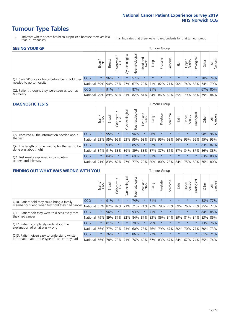- \* Indicates where a score has been suppressed because there are less than 21 responses.
- n.a. Indicates that there were no respondents for that tumour group.

| <b>SEEING YOUR GP</b>                           |            |              |               |                   |                   |                |                  |         | Tumour Group |         |         |                 |                                                           |       |                |
|-------------------------------------------------|------------|--------------|---------------|-------------------|-------------------|----------------|------------------|---------|--------------|---------|---------|-----------------|-----------------------------------------------------------|-------|----------------|
|                                                 |            | Brain<br>CNS | <b>Breast</b> | Colorectal<br>LGT | ত<br>Gynaecologic | Haematological | Head and<br>Neck | Lung    | Prostate     | Sarcoma | Skin    | Upper<br>Gastro | Jrological                                                | Other | All<br>Cancers |
| Q1. Saw GP once or twice before being told they | <b>CCG</b> | $\star$      | 96%           | $\star$           | $\star$           | 57%            | $\star$          | $\star$ | $\star$      | $\star$ | $\star$ | $\star$         |                                                           |       | 78% 74%        |
| needed to go to hospital                        | National   | 59%          |               | 94% 75% 77%       |                   |                |                  |         |              |         |         |                 | 67% 79% 71% 82% 71% 90% 74% 83% 74% 79%                   |       |                |
| Q2. Patient thought they were seen as soon as   | <b>CCG</b> | $\star$      | 91%           | $\star$           | $\star$           | 87%            | $\star$          | 81%     | $\star$      | $\star$ | $\star$ | $\star$         |                                                           |       | 67% 80%        |
| necessary                                       | National   | 79%          |               | 89% 83%           |                   |                |                  |         |              |         |         |                 | 81%   82%   81%   84%   86%   69%   85%   79%   85%   79% |       | 84%            |

#### **DIAGNOSTIC TESTS** Tumour Group

|                                                   |                                                                  | Brain   | <b>Breast</b> | Colorectal<br>LGT | $\overline{\sigma}$<br>Gynaecologic | Haematological | Head and<br>Neck | Lung    | Prostate | Sarcoma | Skin    | Upper<br>Gastro | Irologica                                   | Other | All<br>Cancers |
|---------------------------------------------------|------------------------------------------------------------------|---------|---------------|-------------------|-------------------------------------|----------------|------------------|---------|----------|---------|---------|-----------------|---------------------------------------------|-------|----------------|
| Q5. Received all the information needed about     | <b>CCG</b>                                                       | $\star$ | 95%           |                   |                                     | 96%            | $\star$          | 96%     |          | $\star$ |         | $\star$         |                                             |       | 98% 96%        |
| the test                                          | National                                                         | 93%     | 95%           | 95%               | 93%                                 | 95%            |                  | 93% 95% | 95%      | 93%     | 96%     | 95%             | 95%                                         | 95%   | 95%            |
| Q6. The length of time waiting for the test to be | <b>CCG</b>                                                       | $\star$ | 93%           |                   | $\star$                             | 85%            | $\star$          | 92%     | $\star$  | $\star$ | $\star$ | $\star$         | $\star$                                     |       | 83% 87%        |
| done was about right                              | National 84%                                                     |         | 91%           | 88%               |                                     |                |                  |         |          |         |         |                 | 86% 89% 88% 87% 87% 81% 87% 84% 87% 86% 88% |       |                |
| Q7. Test results explained in completely          | <b>CCG</b>                                                       | $\star$ | 84%           |                   |                                     | 69%            | $\star$          | 81%     | $\star$  | $\star$ | $\star$ | $\star$         | $\star$                                     |       | 83% 80%        |
| understandable way                                | National 71% 83% 82% 77% 77% 79% 80% 80% 78% 84% 75% 80% 76% 80% |         |               |                   |                                     |                |                  |         |          |         |         |                 |                                             |       |                |

| <b>FINDING OUT WHAT WAS WRONG WITH YOU</b>        |            |         |               |                                  |                |                |                        |             | Tumour Group |         |         |                 |            |       |                |
|---------------------------------------------------|------------|---------|---------------|----------------------------------|----------------|----------------|------------------------|-------------|--------------|---------|---------|-----------------|------------|-------|----------------|
|                                                   |            | Brain   | <b>Breast</b> | ╮<br>olorectal.<br>LGT<br>$\cup$ | Gynaecological | Haematological | ad and<br>Neck<br>Head | Lung        | Prostate     | Sarcoma | Skin    | Upper<br>Gastro | Jrological | Other | All<br>Cancers |
| Q10. Patient told they could bring a family       | <b>CCG</b> | $\star$ | 91%           | $\star$                          | $\star$        | 74%            | $\star$                | 71%         | $\star$      | $\star$ | $\star$ | $\star$         | $\star$    | 88%   | 77%            |
| member or friend when first told they had cancer  | National   | 85%     | 82%           | 82%                              | 71%            | 71%            | 71%                    | 77%         | 79%          | 73%     | 69%     | 76%             | 73%        | 75%   | 77%            |
| Q11. Patient felt they were told sensitively that | <b>CCG</b> | $\star$ | 96%           | $\star$                          | $\star$        | 93%            | $\star$                | 71%         | $\star$      | $\star$ | $\star$ | $\star$         | $\star$    |       | 84% 85%        |
| they had cancer                                   | National   | 79%     | 89%           | 87%                              | 82%            | 84% 87%        |                        | 83%         | 86%          | 84%     | 89%     | 81%             | 84%        |       | 83% 86%        |
| Q12. Patient completely understood the            | <b>CCG</b> | $\star$ | 81%           | $\star$                          | $\star$        | 70%            | $\ast$                 | 79%         | $\star$      | $\star$ | $\star$ | $\star$         | $^\star$   | 73%   | 76%            |
| explanation of what was wrong                     | National   | 66%     | 77%           | 79%                              | 73%            | 60%            | 78%                    | 76%         | 79%          | 67%     | 80%     | 70%             | 77%        | 70%   | 73%            |
| Q13. Patient given easy to understand written     | <b>CCG</b> | $\star$ | 76%           | $\star$                          | $\star$        | 86%            | $\star$                | 72%         | $\star$      | $\star$ | $\star$ | $\star$         | $^\star$   | 61%   | 71%            |
| information about the type of cancer they had     | National   | 66%     | 78%           | 73%                              | 71%            | 76%            |                        | 69% 67% 83% |              |         | 67% 84% | 67%             | 74%        | 65%   | 74%            |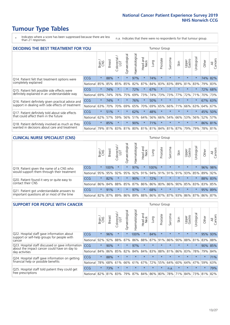- \* Indicates where a score has been suppressed because there are less than 21 responses.
- n.a. Indicates that there were no respondents for that tumour group.

| <b>DECIDING THE BEST TREATMENT FOR YOU</b>         |            |         |               |            |                |                |                         |      | <b>Tumour Group</b> |                                         |         |                 |            |         |                |
|----------------------------------------------------|------------|---------|---------------|------------|----------------|----------------|-------------------------|------|---------------------|-----------------------------------------|---------|-----------------|------------|---------|----------------|
|                                                    |            | Brain   | <b>Breast</b> | Colorectal | Gynaecological | Haematological | ead and<br>Neck<br>Head | Lung | Prostate            | arcoma<br>ιñ                            | Skin    | Upper<br>Gastro | Urological | Other   | All<br>Cancers |
| Q14. Patient felt that treatment options were      | CCG        | $\star$ | 88%           | $\star$    | $\star$        | 97%            | $\star$                 | 74%  | $\star$             | $\star$                                 | $\star$ | $\star$         | $\star$    | 74%     | 82%            |
| completely explained                               | National   | 85%     | 85%           | 85%        | 85%            | 82%            | 87%                     | 84%  | 83%                 | 83%                                     | 89%     | 81%             | 83%        | 79%     | 83%            |
| Q15. Patient felt possible side effects were       | CCG        | $\star$ | 74%           |            | $\star$        | 72%            | $\star$                 | 67%  | $\star$             | 大                                       |         | $\star$         | $\star$    | 72%     | 68%            |
| definitely explained in an understandable way      | National   | 69%     | 74%           | 76%        | 75%            | 69%            | 73%                     | 74%  | 73%                 | 73%                                     | 77%     | 72%             | 71%        | 70%     | 73%            |
| Q16. Patient definitely given practical advice and | <b>CCG</b> | $\star$ | 74%           |            | $\star$        | 76%            | $\star$                 | 50%  | $\star$             | 大                                       |         | $\star$         |            | 67%     | 63%            |
| support in dealing with side effects of treatment  | National   | 63%     | 70%           | 70%        | 69%            | 65%            | 70%                     | 69%  | 65%                 | 66%                                     | 71%     | 66%             | 63%        | 64%     | 67%            |
| Q17. Patient definitely told about side effects    | CCG        | $\star$ | 51%           |            | $\star$        | 62%            | $\star$                 | 48%  | $\star$             | $\star$                                 | $\star$ | $\star$         | $\star$    | 45%     | 50%            |
| that could affect them in the future               | National   | 62%     | 57%           | 59%        | 56%            | 51%            | 64%                     | 56%  | 66%                 | 54%                                     | 66%     | 53%             | 56%        | 52%     | 57%            |
| Q18. Patient definitely involved as much as they   | CCG        | $\star$ | 85%           |            | $\star$        | 90%            | $\star$                 | 71%  | $\star$             | $\star$                                 | $\star$ | $\star$         | $\star$    |         | 86% 81%        |
| wanted in decisions about care and treatment       | National   | 79%     |               |            |                |                |                         |      |                     | 81% 83% 81% 80% 81% 81% 84% 81% 87% 79% |         |                 | 79%        | 78% 81% |                |

#### **CLINICAL NURSE SPECIALIST (CNS)** Tumour Group

|                                             |          | Brain   | <b>Breast</b>   | Colorectal<br>LGT | $\overline{\sigma}$<br>aecologic<br>$\overline{\xi}$ | ক<br>Ű<br>Haematologi | Head and<br>Neck | Lung                    | Prostate | Sarcoma  | Skin    | Upper<br>Gastro | σ<br>rologica | Other | All<br>Cancers |
|---------------------------------------------|----------|---------|-----------------|-------------------|------------------------------------------------------|-----------------------|------------------|-------------------------|----------|----------|---------|-----------------|---------------|-------|----------------|
| Q19. Patient given the name of a CNS who    | CCG      | $\star$ | 100%            |                   |                                                      | 97%                   | $\star$          | 100%                    | $\star$  | $\star$  | $\star$ | $\star$         |               |       | 96% 98%        |
| would support them through their treatment  | National | 95%     | 95%             | 92%               | 95%                                                  | 92%                   | 91%              | 94% 91%                 |          | $ 91\% $ | 91%     | 93%             | 85%           | 89%   | 92%            |
| Q20. Patient found it very or quite easy to | CCG      | $\star$ | 82%             |                   | $\star$                                              | 90%                   | $\star$          | 72%                     | $\star$  | $\star$  | $\star$ | $\star$         | $\star$       | 88%   | 83%            |
| contact their CNS                           | National |         | 86% 84% 88% 85% |                   |                                                      |                       |                  | 87% 86% 86% 80%         |          |          |         | 86% 90% 85% 83% |               | 83%   | 85%            |
| Q21. Patient got understandable answers to  | CCG      | $\star$ | 91%             | $\star$           | $\star$                                              | 97%                   | $\star$          | 68%                     | $\star$  | $\star$  | $\star$ | $\star$         | $\star$       |       | 95% 89%        |
| important questions all or most of the time | National |         | 82%   87%   89% |                   | 86%                                                  |                       |                  | 89% 88% 86% 87% 87% 93% |          |          |         | 86% 87%         |               | 86%   | 87%            |

| <b>SUPPORT FOR PEOPLE WITH CANCER</b>                                                             |            |         |               |                        |                |                |                        |         | Tumour Group |         |         |                 |           |         |                |
|---------------------------------------------------------------------------------------------------|------------|---------|---------------|------------------------|----------------|----------------|------------------------|---------|--------------|---------|---------|-----------------|-----------|---------|----------------|
|                                                                                                   |            | Brain   | <b>Breast</b> | olorectal.<br>LGT<br>Ũ | Gynaecological | Haematological | ad and<br>Neck<br>Head | Lung    | Prostate     | Sarcoma | Skin    | Upper<br>Gastro | Jrologica | Other   | All<br>Cancers |
| Q22. Hospital staff gave information about<br>support or self-help groups for people with         | <b>CCG</b> | $\star$ | 96%           | $\star$                | $\star$        | 100%           | $\ast$                 | 84%     | $\star$      | $\star$ | $\star$ | $\star$         | $\star$   | 95%     | 93%            |
| cancer                                                                                            | National   | 92%     | 92%           | 88%                    | 87%            | 86%            | 88%                    | 87%     | 91%          | 86%     | 90%     | 88%             | 81%       | 83%     | 88%            |
| Q23. Hospital staff discussed or gave information<br>about the impact cancer could have on day to | CCG        | $\star$ | 90%           | $\star$                | $\star$        | 97%            | $\star$                | $\star$ | $\star$      | $\star$ | $\star$ | $\star$         | $\star$   | 90%     | 85%            |
| day activities                                                                                    | National   | 84%     | 86%           | 85%                    | 82%            | 84%            | 84%                    | 83%     | 88%          | 81%     | 86%     | 83%             | 78%       | 79%     | 84%            |
| Q24. Hospital staff gave information on getting                                                   | CCG        | $\star$ | 88%           | $\star$                | $\star$        | $\star$        | $\star$                | $\star$ | $\star$      | $\star$ | $\star$ | $\star$         | $\star$   | $\star$ | 71%            |
| financial help or possible benefits                                                               | National   | 78%     | 68%           | 61%                    | 66%            | 61%            | 67%                    | 72%     | 55%          | 64%     | 60%     | 64%             | 47%       | 59%     | 63%            |
| Q25. Hospital staff told patient they could get                                                   | <b>CCG</b> | $\star$ | 73%           | $\star$                | $\star$        | $\star$        | $\star$                | $\star$ | $\star$      | n.a.    | $\star$ | $\star$         | $\star$   | $\star$ | 79%            |
| free prescriptions                                                                                | National   | 82%     |               | 81% 83%                | 79%            | 87%            |                        |         | 84% 86% 80%  | 78%     | 71%     | 84%             | 73%       | 81%     | 82%            |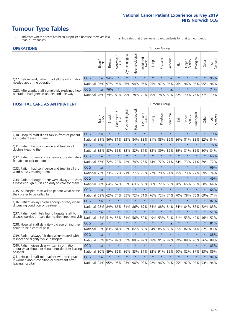- \* Indicates where a score has been suppressed because there are less than 21 responses.
- n.a. Indicates that there were no respondents for that tumour group.

| <b>OPERATIONS</b>                                |              |       |               |            |                |                               |                  |         | Tumour Group            |         |         |                 |                                  |         |                |
|--------------------------------------------------|--------------|-------|---------------|------------|----------------|-------------------------------|------------------|---------|-------------------------|---------|---------|-----------------|----------------------------------|---------|----------------|
|                                                  |              | Brain | <b>Breast</b> | Colorectal | Gynaecological | $\overline{3}$<br>Haematologi | Head and<br>Neck | Lung    | Prostate                | Sarcoma | Skin    | Upper<br>Gastro | $\overline{\sigma}$<br>Jrologica | Other   | All<br>Cancers |
| Q27. Beforehand, patient had all the information | <b>CCG</b>   | n.a.  | 94%           |            | $\star$        | $\star$                       | $\star$          | $\star$ | $\star$                 | n.a.    | $\star$ | $\star$         | $\star$                          | $\star$ | 95%            |
| needed about the operation                       | National 96% |       |               | 97% 96%    | 96%            |                               |                  |         | 94% 96% 95% 97% 95% 96% |         |         |                 | 96% 95% 95%                      |         | 96%            |
| Q28. Afterwards, staff completely explained how  | <b>CCG</b>   | n.a.  | 76%           |            | $\star$        | $\star$                       | $\star$          | $\star$ | $\star$                 | n.a.    | $\star$ | $\star$         | $\star$                          | $\star$ | 74%            |
| operation had gone in understandable way         | National     | 76%   |               | 79% 83%    |                | 79%   78%   79%               |                  |         | 79% 78% 80% 82% 79%     |         |         |                 |                                  | 76% 77% | 79%            |

#### **HOSPITAL CARE AS AN INPATIENT** Tumour Group

|                                                                                                   |            | Brain | Breast  | Colorectal /<br>LGT | Gynaecological | Haematological | Head and<br>Neck | Lung    | Prostate | Sarcoma | Skin    | Upper<br>Gastro | Urological | Other   | All<br>Cancers |
|---------------------------------------------------------------------------------------------------|------------|-------|---------|---------------------|----------------|----------------|------------------|---------|----------|---------|---------|-----------------|------------|---------|----------------|
| Q30. Hospital staff didn't talk in front of patient                                               | CCG        | n.a.  | $\star$ | $\star$             | $\star$        | $\star$        | $\star$          | $\star$ | $\star$  | $\star$ | $\star$ | $\star$         | $\star$    | $\star$ | 79%            |
| as if patient wasn't there                                                                        | National   | 81%   | 86%     | 81%                 | 83%            | 84%            | 83%              | 81%     | 88%      | 86%     | 86%     | 81%             | 83%        | 82%     | 84%            |
| O31. Patient had confidence and trust in all                                                      | <b>CCG</b> | n.a.  | $\star$ | $\star$             | $\star$        | $\star$        | $\star$          | $\star$ | $\star$  | $\star$ | $\star$ |                 | $\star$    | $\star$ | 78%            |
| doctors treating them                                                                             | National   | 82%   | 83%     | 85%                 | 83%            | 82%            |                  | 87% 83% | 89%      | 86%     | 85%     | 81%             | 85%        | 80%     | 84%            |
| Q32. Patient's family or someone close definitely<br>felt able to talk to a doctor                | CCG        | n.a.  | $\star$ | $\star$             | $\star$        | $\star$        | $\star$          | $\star$ | $\star$  | $\star$ | $\star$ | $\star$         | $\star$    | $\star$ | 66%            |
|                                                                                                   | National   | 67%   | 72%     | 73%                 | 72%            | 74%            | 75%              | 74%     | 72%      | 71%     | 74%     | 73%             | 71%        | 69%     | 72%            |
| Q33. Patient had confidence and trust in all the<br>ward nurses treating them                     | CCG        | n.a.  | $\star$ | $\star$             | $\star$        | $\star$        | $\star$          | $\star$ | $\star$  | $\star$ | $\star$ | $\star$         | $\star$    | $\star$ | 69%            |
|                                                                                                   | National   | 72%   | 73%     | 72%                 | 71%            | 77%            | 75%              | 77%     | 79%      | 74%     | 75%     | 73%             | 77%        | 69%     | 74%            |
| Q34. Patient thought there were always or nearly<br>always enough nurses on duty to care for them | CCG        | n.a.  | $\star$ | $\star$             | $\star$        | $\star$        | $\star$          | $\star$ | $\star$  | $\star$ | $\star$ | $\star$         | $\star$    | $\star$ | 49%            |
|                                                                                                   | National   | 68%   | 64%     | 62%                 | 63%            | 63%            | 65%              | 68%     | 72%      | 65%     | 70%     | 65%             | 66%        | 60%     | 64%            |
| Q35. All hospital staff asked patient what name                                                   | CCG        | n.a.  | $\star$ | $\star$             | $\star$        | $\star$        | $\star$          | $\star$ | $\star$  | $\star$ | $\star$ | $\star$         | $\star$    | $\star$ | 66%            |
| they prefer to be called by                                                                       | National   | 68%   | 62%     | 74%                 | 65%            | 72%            | 71%              | 76%     | 72%      | 74%     | 70%     | 78%             | 76%        | 69%     | 71%            |
| Q36. Patient always given enough privacy when                                                     | CCG        | n.a.  | $\star$ | $\star$             | $\star$        | $\star$        | $\star$          | $\star$ | $\star$  | $\star$ | $\star$ | $\star$         | $\star$    | $\star$ | 82%            |
| discussing condition or treatment                                                                 | National   | 78%   | 84%     | 85%                 | 81%            | 86%            | 87%              | 84%     | 88%      | 84%     | 84%     | 84%             | 85%        | 82%     | 85%            |
| Q37. Patient definitely found hospital staff to                                                   | CCG        | n.a.  | $\star$ | $\star$             | $\star$        | $\star$        | $\star$          | $\star$ | $\star$  | $\star$ | $\star$ | $\star$         | $\star$    | $\star$ | 51%            |
| discuss worries or fears during their inpatient visit                                             | National   | 45%   | 51%     | 55%                 | 51%            | 56%            | 52%              | 49%     | 53%      | 54%     | 51%     | 53%             | 49%        | 46%     | 52%            |
| Q38. Hospital staff definitely did everything they                                                | CCG        | n.a.  | $\star$ | $\star$             | $\star$        | $\star$        | $\star$          | $\star$ | $\star$  | n.a.    | $\star$ | $\star$         | $\star$    | $\star$ | 81%            |
| could to help control pain                                                                        | National   | 85%   | 83%     | 84%                 | 82%            | 82%            | 80%              | 84%     | 85%      | 83%     | 85%     | 82%             | 81%        | 82%     | 83%            |
| Q39. Patient always felt they were treated with                                                   | CCG        | n.a.  | $\star$ | $\star$             | $\star$        | $\star$        | $\star$          | $\star$ | $\star$  | $\star$ | $\star$ | $\star$         | $\star$    | $\star$ | 88%            |
| respect and dignity while in hospital                                                             | National   | 85%   | 87%     | 87%                 | 85%            | 89%            |                  | 87% 88% | 91%      | 89%     | 89%     | 88%             | 90%        | 86%     | 88%            |
| Q40. Patient given clear written information<br>about what should or should not do after leaving  | CCG        | n.a.  | $\star$ | $\star$             | $\star$        | $\star$        | $\star$          | $\star$ | $\star$  | $\star$ | $\star$ | $\star$         | $\star$    | $\star$ | 85%            |
| hospital                                                                                          | National   | 80%   | 89%     | 86%                 | 86%            | 83%            |                  | 87% 82% | 91%      | 85%     | 90%     | 82%             | 87%        | 83%     | 86%            |
| Q41. Hospital staff told patient who to contact<br>if worried about condition or treatment after  | CCG        | n.a.  | $\star$ | $\star$             | $\star$        | $\star$        | $\star$          | $\star$ | $\star$  | $\star$ | $\star$ | $\star$         | $\star$    | $\star$ | 94%            |
| leaving hospital                                                                                  | National   | 94%   | 95%     |                     |                | 95% 93% 96%    |                  | 93% 92% | 96%      |         |         | 94% 95% 92%     | 92%        | 93%     | 94%            |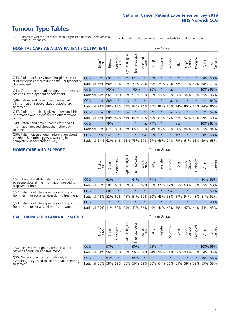- \* Indicates where a score has been suppressed because there are less than 21 responses.
- n.a. Indicates that there were no respondents for that tumour group.

| <b>HOSPITAL CARE AS A DAY PATIENT / OUTPATIENT</b>                                                                    | <b>Tumour Group</b> |         |               |                        |                |                |                         |         |          |         |         |                 |            |          |                |
|-----------------------------------------------------------------------------------------------------------------------|---------------------|---------|---------------|------------------------|----------------|----------------|-------------------------|---------|----------|---------|---------|-----------------|------------|----------|----------------|
|                                                                                                                       |                     | Brain   | <b>Breast</b> | colorectal<br>LGT<br>Ũ | Gynaecological | Haematological | aad and<br>Neck<br>Head | Lung    | Prostate | Sarcoma | Skin    | Upper<br>Gastro | Urological | Other    | All<br>Cancers |
| Q43. Patient definitely found hospital staff to                                                                       | CCG                 | $\star$ | 69%           | $\star$                | $\star$        | 81%            | $\star$                 | 57%     | $\star$  | $\star$ | $\star$ | $\star$         | $\star$    | 74%      | 68%            |
| discuss worries or fears during their outpatient or<br>day case visit                                                 | National            | 66%     | 68%           | 73%                    | 70%            | 73%            | 72%                     | 70%     | 74%      | 72%     | 72%     | 71%             | 67%        | 68%      | 71%            |
| Q44. Cancer doctor had the right documents at<br>patient's last outpatient appointment                                | CCG                 | $\star$ | 100%          | $\star$                |                | 100%           | $\star$                 | 96%     | $\star$  | n.a.    |         | $\star$         |            | 100% 98% |                |
|                                                                                                                       | National            | 94%     | 96%           | 96%                    | 96%            | 97%            | 96%                     | 96%     | 96%      | 96%     | 96%     | 94%             | 96%        | 95%      | 96%            |
| Q46. Beforehand patient completely had                                                                                | <b>CCG</b>          | n.a.    | 88%           | $\star$                | n.a.           | $\star$        | $\star$                 | $\star$ | $\star$  | n.a.    | n.a.    | $\star$         | $\star$    | $\star$  | 84%            |
| all information needed about radiotherapy<br>treatment                                                                | National            | 91%     | 88%           | 83%                    | 88%            | 84%            | 86%                     | 86%     | 88%      | 88%     | 84%     | 86%             | 83%        | 84%      | 86%            |
| Q47. Patient completely given understandable                                                                          | <b>CCG</b>          | n.a.    | 50%           | $\star$                | n.a.           | $\star$        | $\star$                 | $\star$ | $\star$  | n.a.    | n.a.    | $\star$         | $\star$    | $\star$  | 54%            |
| information about whether radiotherapy was<br>working                                                                 | National            | 56%     | 60%           | 57%                    | 61%            | 62%            | 63%                     | 59%     | 60%      | 67%     | 57%     | 52%             | 59%        | 59%      | 60%            |
| Q49. Beforehand patient completely had all                                                                            | CCG                 | $\star$ | 79%           | $\star$                | $\star$        | $\ast$         | n.a.                    | 77%     | $\star$  | $\star$ | n.a.    | $\star$         | $^\star$   | 100% 83% |                |
| information needed about chemotherapy<br>treatment                                                                    | National            | 80%     | 82%           | 86%                    | 87%            | 85%            | 79%                     | 84%     | 86%      | 86%     | 90%     | 84%             | 85%        | 85%      | 84%            |
| Q50. Patient given enough information about<br>whether chemotherapy was working in a<br>completely understandable way | <b>CCG</b>          | n.a.    | 54%           | $\star$                | $\star$        | $\star$        | n.a.                    | 73%     | $\star$  | $\star$ | n.a.    | $\star$         | $\star$    | 68%      | 68%            |
|                                                                                                                       | National            | 54%     | 62%           | 64%                    | 68%            | 75%            |                         | 57% 67% | 66%      | 71%     | 79%     | 61%             | 68%        | 69%      | 68%            |

#### **HOME CARE AND SUPPORT** Tumour Group

|                                                                                                                   |                 | Brain   | <b>Breast</b> | Colorectal<br>LGT | $\overline{\sigma}$<br>Gynaecologic | ত<br>Haematologic | ad and<br>Neck<br>Head | Lung    | Prostate | Sarcoma | Skin    | Upper<br>Gastro | rological   | Other   | All<br>Cancers |
|-------------------------------------------------------------------------------------------------------------------|-----------------|---------|---------------|-------------------|-------------------------------------|-------------------|------------------------|---------|----------|---------|---------|-----------------|-------------|---------|----------------|
| Q51. Hospital staff definitely gave family or<br>someone close all the information needed to<br>help care at home | <b>CCG</b>      | $\star$ | 62%           | $\star$           | $\star$                             | 61%               | $\star$                | 71%     | $\star$  | $\star$ | $\star$ | $\star$         | $\star$     | 50%     | 56%            |
|                                                                                                                   | National        | 58%     | 58%           | 63%               | 57%                                 | 62%               | 67%                    | 59%     | 61%      |         | 62% 65% | 60%             | 59%         | 55%     | 60%            |
| Q52. Patient definitely given enough support<br>from health or social services during treatment                   | <b>CCG</b>      | $\star$ | 60%           |                   | $\star$                             |                   | $\star$                | $\star$ | $\star$  | n.a.    |         | $\star$         | $\star$     | $\star$ | 53%            |
|                                                                                                                   | National        | 42%     | 52%           | 60%               |                                     | 45% 51%           | 59%                    | 50%     | 48%      |         | 53% 57% |                 | 54% 48% 51% |         | 52%            |
| Q53. Patient definitely given enough support<br>from health or social services after treatment                    | <b>CCG</b>      | $\star$ | $\star$       | $\star$           | $\star$                             | $\star$           | $\star$                | $\star$ | $\star$  | $\star$ | $\star$ | $\star$         | $\star$     | $\star$ | 40%            |
|                                                                                                                   | <b>National</b> | 39%     | 41% 53%       |                   | 39%                                 | $ 43\% $          | 56%                    | 40%     | 46%      | 48% 59% |         | 47%             | 44%         | 44%     | 45%            |

| <b>CARE FROM YOUR GENERAL PRACTICE</b>                                                                     |              |         |               |                        |               |                |                                 | <b>Tumour Group</b> |          |         |         |                 |                      |                                         |                |  |
|------------------------------------------------------------------------------------------------------------|--------------|---------|---------------|------------------------|---------------|----------------|---------------------------------|---------------------|----------|---------|---------|-----------------|----------------------|-----------------------------------------|----------------|--|
|                                                                                                            |              | Brain,  | <b>Breast</b> | ー<br>Colorectal<br>LGT | Gynaecologica | Haematological | Head and<br>Neck                | Lung                | Prostate | Sarcoma | Skin    | Upper<br>Gastro | $\sigma$<br>Urologic | Other                                   | All<br>Cancers |  |
| Q54. GP given enough information about<br>patient's condition and treatment                                | CCG          | $\star$ | 97%           | $\star$                | $\star$       | 90%            | $\star$                         | 95%                 | $\star$  | $\star$ | $\star$ | $\star$         | $\star$              | 100% 96%                                |                |  |
|                                                                                                            | National 91% |         |               | 96% 95%                | 95%           |                | 96% 94% 94% 96% 94% 96% 93% 95% |                     |          |         |         |                 |                      | 94% 95%                                 |                |  |
| Q55. General practice staff definitely did<br>everything they could to support patient during<br>treatment | <b>CCG</b>   | $\star$ | 63%           | $\star$                |               | 65%            | $\star$                         | $\star$             | $\star$  | $\star$ | $\star$ | $\star$         |                      | 50% 58%                                 |                |  |
|                                                                                                            | National 55% |         |               | 58% 59%                | 56%           |                |                                 |                     |          |         |         |                 |                      | 56% 59% 56% 64% 56% 65% 59% 59% 55% 58% |                |  |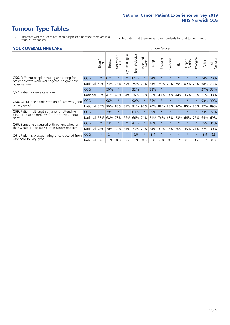- \* Indicates where a score has been suppressed because there are less than 21 responses.
- n.a. Indicates that there were no respondents for that tumour group.

#### **YOUR OVERALL NHS CARE** THE TWO CONTROLLER THE THE THROUP CHANGE THE TUMOUR GROUP

| UN V V LIVALL IVI 19 GAINL |                                                                                                       |               |                            |                |                |                         |      |          |                      |         |                 |                |       |                |  |  |  |  |  |
|----------------------------|-------------------------------------------------------------------------------------------------------|---------------|----------------------------|----------------|----------------|-------------------------|------|----------|----------------------|---------|-----------------|----------------|-------|----------------|--|--|--|--|--|
|                            | Brain<br>CNS                                                                                          | <b>Breast</b> | olorectal<br>LGT<br>$\cup$ | Gynaecological | Haematological | aad and<br>Neck<br>Head | Lung | Prostate | arcoma<br>$\sqrt{ }$ | Skin    | Upper<br>Gastro | ෆී<br>Urologia | Other | All<br>Cancers |  |  |  |  |  |
| <b>CCG</b>                 | $\star$                                                                                               | 82%           | $\star$                    | $\star$        | 81%            | $\star$                 | 54%  | $\star$  | $\star$              | $\star$ | $\star$         | $\star$        | 74%   | 70%            |  |  |  |  |  |
| National                   | 60%                                                                                                   | 73%           | 73%                        | 69%            | 75%            | 73%                     | 73%  | 75%      | 70%                  | 79%     | 69%             | 74%            | 68%   | 73%            |  |  |  |  |  |
| <b>CCG</b>                 | $\star$                                                                                               | 50%           | $\star$                    | $\star$        | 32%            | $\ast$                  | 38%  | $\star$  | $\star$              | $\star$ | $\star$         | $\star$        | 27%   | 33%            |  |  |  |  |  |
| National                   | 36%                                                                                                   | 41%           | 40%                        | 34%            | 36%            | 39%                     | 36%  | 40%      | 34%                  | 44%     | 36%             | 33%            | 31%   | 38%            |  |  |  |  |  |
| <b>CCG</b>                 | $\star$                                                                                               | 96%           | $\star$                    |                | 90%            | $\ast$                  | 75%  | $\star$  | $\star$              | $\star$ |                 |                | 93%   | 90%            |  |  |  |  |  |
| National                   | 85%                                                                                                   | 90%           | 88%                        | 87%            | 91%            | 90%                     | 90%  | 88%      | 88%                  | 90%     | 86%             | 85%            | 87%   | 89%            |  |  |  |  |  |
| <b>CCG</b>                 | $\star$                                                                                               | 79%           | $\star$                    | $\star$        | 83%            | $\star$                 | 89%  | $\star$  | $\star$              | $\star$ | $\star$         | $\star$        | 73%   | 77%            |  |  |  |  |  |
| National                   | 58%                                                                                                   | 68%           | 73%                        | 66%            | 66%            | 71%                     | 71%  | 76%      | 68%                  | 73%     | 66%             | 75%            | 64%   | 69%            |  |  |  |  |  |
| <b>CCG</b>                 | $\star$                                                                                               | 23%           | $\star$                    |                | 42%            | $\star$                 | 48%  | $\star$  | $\star$              | $\star$ | $\star$         | $\star$        | 35%   | 31%            |  |  |  |  |  |
| National                   | 42%                                                                                                   | 30%           | 32%                        | 31%            | 33%            |                         | 34%  | 31%      | 36%                  | 20%     | 36%             | 21%            | 32%   | 30%            |  |  |  |  |  |
| CCG                        | $\star$                                                                                               | 9.1           | $\star$                    | $\star$        | 9.0            | $\ast$                  | 8.4  | $\star$  | $\star$              | $\star$ | $\star$         | $\star$        | 8.9   | 8.8            |  |  |  |  |  |
| National                   | 8.6                                                                                                   | 8.9           | 8.8                        | 8.7            | 8.9            | 8.8                     | 8.8  | 8.8      | 8.8                  | 8.9     | 8.7             | 8.7            | 8.7   | 8.8            |  |  |  |  |  |
|                            | Q58. Overall the administration of care was good<br>Q61. Patient's average rating of care scored from |               |                            |                |                |                         | 21%  |          |                      |         |                 |                |       |                |  |  |  |  |  |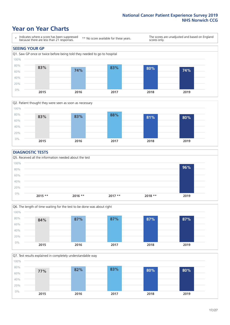### **Year on Year Charts**





#### **DIAGNOSTIC TESTS**





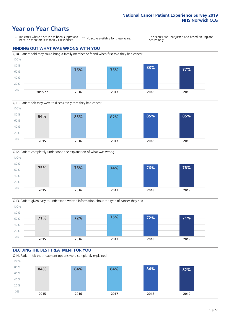## **Year on Year Charts**

\* Indicates where a score has been suppressed because there are less than 21 responses.

\*\* No score available for these years.

The scores are unadjusted and based on England scores only.









### **DECIDING THE BEST TREATMENT FOR YOU**

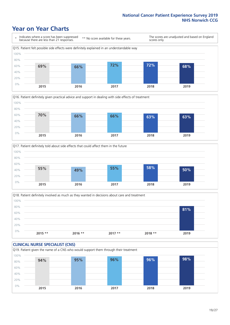## **Year on Year Charts**







Q18. Patient definitely involved as much as they wanted in decisions about care and treatment  $0%$ 20% 40% 60% 80% 100% **2015 \*\* 2016 \*\* 2017 \*\* 2018 \*\* 2019 81%**

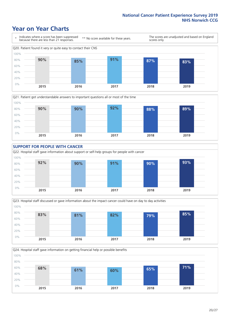### **Year on Year Charts**









Q24. Hospital staff gave information on getting financial help or possible benefits

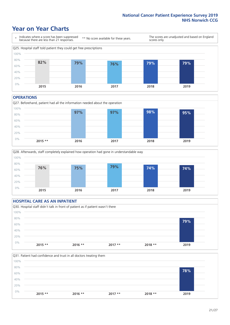### **Year on Year Charts**



#### **OPERATIONS**





#### **HOSPITAL CARE AS AN INPATIENT** Q30. Hospital staff didn't talk in front of patient as if patient wasn't there 0% 20% 40% 60% 80% 100% **2015 \*\* 2016 \*\* 2017 \*\* 2018 \*\* 2019 79%**

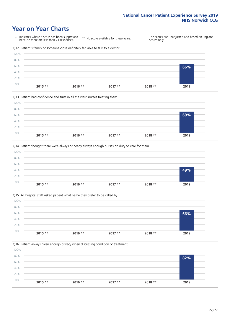### **Year on Year Charts**









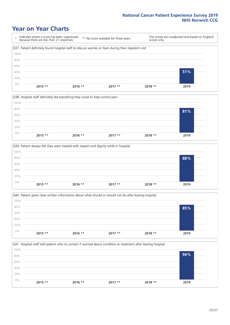### **Year on Year Charts**

\* Indicates where a score has been suppressed because there are less than 21 responses. \*\* No score available for these years. The scores are unadjusted and based on England scores only. Q37. Patient definitely found hospital staff to discuss worries or fears during their inpatient visit 0% 20% 40% 60% 80% 100% **2015 \*\* 2016 \*\* 2017 \*\* 2018 \*\* 2019 51%**







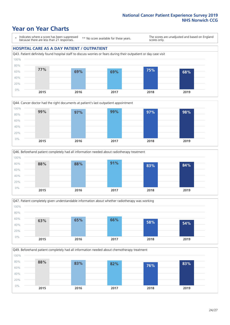### **Year on Year Charts**

\* Indicates where a score has been suppressed because there are less than 21 responses.

\*\* No score available for these years.

The scores are unadjusted and based on England scores only.

#### **HOSPITAL CARE AS A DAY PATIENT / OUTPATIENT**





![](_page_23_Figure_8.jpeg)

![](_page_23_Figure_9.jpeg)

Q49. Beforehand patient completely had all information needed about chemotherapy treatment 100%

![](_page_23_Figure_11.jpeg)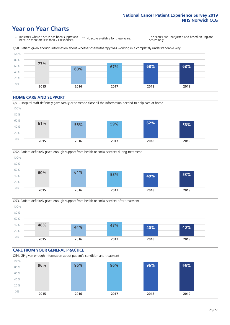## **Year on Year Charts**

\* Indicates where a score has been suppressed because there are less than 21 responses. \*\* No score available for these years. The scores are unadjusted and based on England scores only. Q50. Patient given enough information about whether chemotherapy was working in a completely understandable way 0% 20% 40% 60% 80% 100% **2015 2016 2017 2018 2019 77% 60% 67% 68% 68%**

#### **HOME CARE AND SUPPORT**

![](_page_24_Figure_4.jpeg)

![](_page_24_Figure_5.jpeg)

![](_page_24_Figure_6.jpeg)

![](_page_24_Figure_7.jpeg)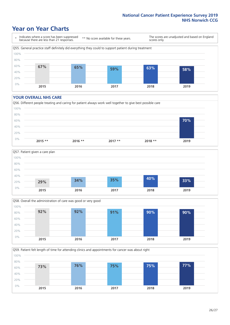### **Year on Year Charts**

\* Indicates where a score has been suppressed because there are less than 21 responses.

\*\* No score available for these years.

The scores are unadjusted and based on England scores only.

![](_page_25_Figure_5.jpeg)

#### **YOUR OVERALL NHS CARE**

![](_page_25_Figure_7.jpeg)

![](_page_25_Figure_8.jpeg)

![](_page_25_Figure_9.jpeg)

Q59. Patient felt length of time for attending clinics and appointments for cancer was about right 0% 20% 40% 60% 80% 100% **2015 2016 2017 2018 2019 73% 76% 75% 75% 77%**